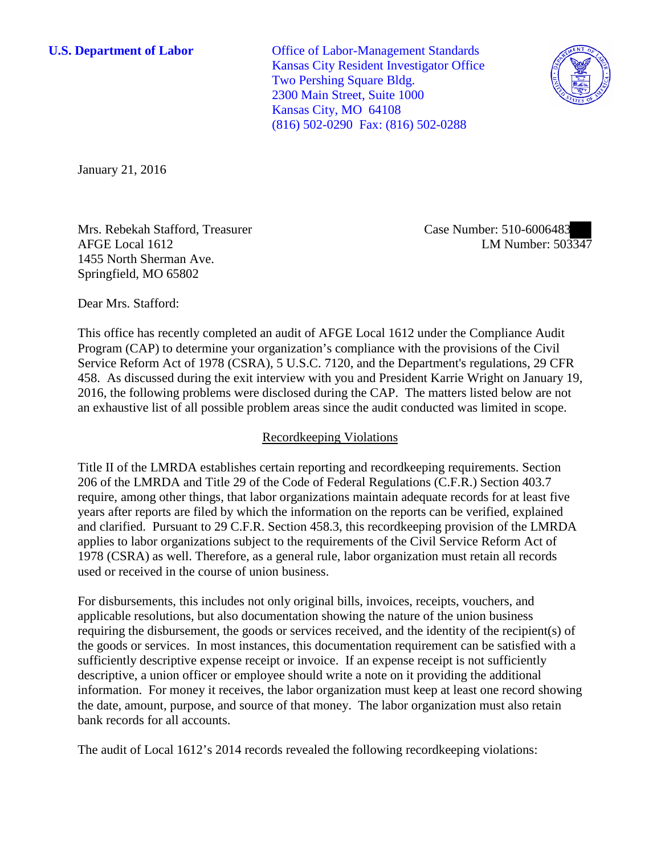**U.S. Department of Labor** Office of Labor-Management Standards Kansas City Resident Investigator Office Two Pershing Square Bldg. 2300 Main Street, Suite 1000 Kansas City, MO 64108 (816) 502-0290 Fax: (816) 502-0288



January 21, 2016

Mrs. Rebekah Stafford, Treasurer AFGE Local 1612 1455 North Sherman Ave. Springfield, MO 65802

Case Number: 510-6006483 LM Number: 503347

Dear Mrs. Stafford:

This office has recently completed an audit of AFGE Local 1612 under the Compliance Audit Program (CAP) to determine your organization's compliance with the provisions of the Civil Service Reform Act of 1978 (CSRA), 5 U.S.C. 7120, and the Department's regulations, 29 CFR 458. As discussed during the exit interview with you and President Karrie Wright on January 19, 2016, the following problems were disclosed during the CAP. The matters listed below are not an exhaustive list of all possible problem areas since the audit conducted was limited in scope.

# Recordkeeping Violations

Title II of the LMRDA establishes certain reporting and recordkeeping requirements. Section 206 of the LMRDA and Title 29 of the Code of Federal Regulations (C.F.R.) Section 403.7 require, among other things, that labor organizations maintain adequate records for at least five years after reports are filed by which the information on the reports can be verified, explained and clarified. Pursuant to 29 C.F.R. Section 458.3, this recordkeeping provision of the LMRDA applies to labor organizations subject to the requirements of the Civil Service Reform Act of 1978 (CSRA) as well. Therefore, as a general rule, labor organization must retain all records used or received in the course of union business.

For disbursements, this includes not only original bills, invoices, receipts, vouchers, and applicable resolutions, but also documentation showing the nature of the union business requiring the disbursement, the goods or services received, and the identity of the recipient(s) of the goods or services. In most instances, this documentation requirement can be satisfied with a sufficiently descriptive expense receipt or invoice. If an expense receipt is not sufficiently descriptive, a union officer or employee should write a note on it providing the additional information. For money it receives, the labor organization must keep at least one record showing the date, amount, purpose, and source of that money. The labor organization must also retain bank records for all accounts.

The audit of Local 1612's 2014 records revealed the following recordkeeping violations: